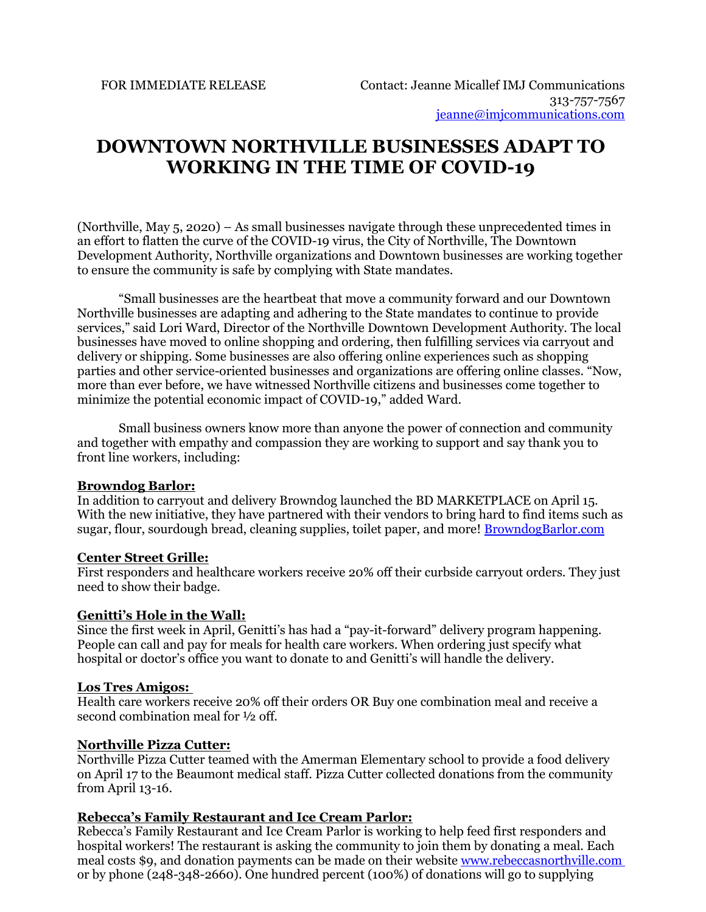# **DOWNTOWN NORTHVILLE BUSINESSES ADAPT TO WORKING IN THE TIME OF COVID-19**

(Northville, May 5, 2020) – As small businesses navigate through these unprecedented times in an effort to flatten the curve of the COVID-19 virus, the City of Northville, The Downtown Development Authority, Northville organizations and Downtown businesses are working together to ensure the community is safe by complying with State mandates.

"Small businesses are the heartbeat that move a community forward and our Downtown Northville businesses are adapting and adhering to the State mandates to continue to provide services," said Lori Ward, Director of the Northville Downtown Development Authority. The local businesses have moved to online shopping and ordering, then fulfilling services via carryout and delivery or shipping. Some businesses are also offering online experiences such as shopping parties and other service-oriented businesses and organizations are offering online classes. "Now, more than ever before, we have witnessed Northville citizens and businesses come together to minimize the potential economic impact of COVID-19," added Ward.

Small business owners know more than anyone the power of connection and community and together with empathy and compassion they are working to support and say thank you to front line workers, including:

#### **Browndog Barlor:**

In addition to carryout and delivery Browndog launched the BD MARKETPLACE on April 15. With the new initiative, they have partnered with their vendors to bring hard to find items such as sugar, flour, sourdough bread, cleaning supplies, toilet paper, and more! [BrowndogBarlor.com](https://urldefense.proofpoint.com/v2/url?u=http-3A__BrowndogBarlor.com&d=DwMGaQ&c=euGZstcaTDllvimEN8b7jXrwqOf-v5A_CdpgnVfiiMM&r=fc-crbC2u6-LrAJ7K_d1ijw7QZvaahP6LsAO0Zwh8CQ&m=x6ywcgwvk3zu30l2YjrWb3qVj2swKDGuAYZ5Y3QK_2U&s=8-UlMYDNrwPfTS_RQPJTWsd5xJVH_GslRkk4pUsYTRU&e)

#### **Center Street Grille:**

First responders and healthcare workers receive 20% off their curbside carryout orders. They just need to show their badge.

#### **Genitti's Hole in the Wall:**

Since the first week in April, Genitti's has had a "pay-it-forward" delivery program happening. People can call and pay for meals for health care workers. When ordering just specify what hospital or doctor's office you want to donate to and Genitti's will handle the delivery.

## **Los Tres Amigos:**

Health care workers receive 20% off their orders OR Buy one combination meal and receive a second combination meal for ½ off.

### **Northville Pizza Cutter:**

Northville Pizza Cutter teamed with the Amerman Elementary school to provide a food delivery on April 17 to the Beaumont medical staff. Pizza Cutter collected donations from the community from April 13-16.

## **Rebecca's Family Restaurant and Ice Cream Parlor:**

Rebecca's Family Restaurant and Ice Cream Parlor is working to help feed first responders and hospital workers! The restaurant is asking the community to join them by donating a meal. Each meal costs \$9, and donation payments can be made on their website [www.rebeccasnorthville.com](http://www.rebeccasnorthville.com/?fbclid=IwAR1VmxsR_DPMyCPxgKBqSjo9gb2zAVBEhH7W5LjRyQ7AxjF0bus_TFKjY30)  or by phone (248-348-2660). One hundred percent (100%) of donations will go to supplying